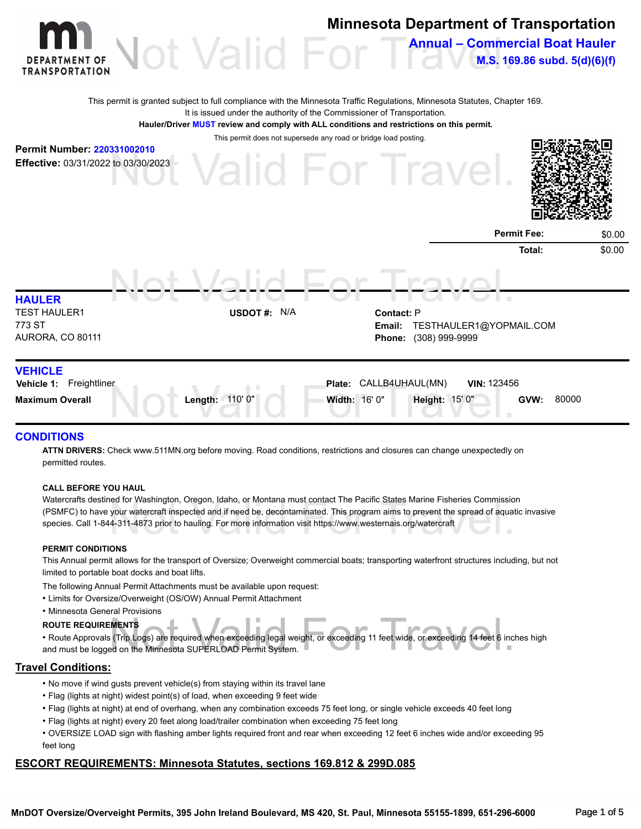

### **CONDITIONS**

**ATTN DRIVERS:** Check www.511MN.org before moving. Road conditions, restrictions and closures can change unexpectedly on permitted routes.

#### **CALL BEFORE YOU HAUL**

ed for Washington, Oregon, Idaho, or Montana must contact The Pacific States Marine Fisheries Commissio<br>your watercraft inspected and if need be, decontaminated. This program aims to prevent the spread of aquat<br>4-311-4873 Watercrafts destined for Washington, Oregon, Idaho, or Montana must contact The Pacific States Marine Fisheries Commission (PSMFC) to have your watercraft inspected and if need be, decontaminated. This program aims to prevent the spread of aquatic invasive species. Call 1-844-311-4873 prior to hauling. For more information visit https://www.westernais.org/watercraft

#### **PERMIT CONDITIONS**

This Annual permit allows for the transport of Oversize; Overweight commercial boats; transporting waterfront structures including, but not limited to portable boat docks and boat lifts.

- The following Annual Permit Attachments must be available upon request:
- Limits for Oversize/Overweight (OS/OW) Annual Permit Attachment
- Minnesota General Provisions

#### **ROUTE REQUIREMENTS**

NENTS<br>: (Trip Logs) are required when exceeding legal weight, or exceeding 11 feet wide, or exceeding 14 feet 6 inc<br>ed on the Minnesota SUPERLOAD Permit System. • Route Approvals (Trip Logs) are required when exceeding legal weight, or exceeding 11 feet wide, or exceeding 14 feet 6 inches high and must be logged on the Minnesota SUPERLOAD Permit System.

### **Travel Conditions:**

- No move if wind gusts prevent vehicle(s) from staying within its travel lane
- Flag (lights at night) widest point(s) of load, when exceeding 9 feet wide
- Flag (lights at night) at end of overhang, when any combination exceeds 75 feet long, or single vehicle exceeds 40 feet long
- Flag (lights at night) every 20 feet along load/trailer combination when exceeding 75 feet long
- OVERSIZE LOAD sign with flashing amber lights required front and rear when exceeding 12 feet 6 inches wide and/or exceeding 95 feet long

### **ESCORT REQUIREMENTS: Minnesota Statutes, sections 169.812 & 299D.085**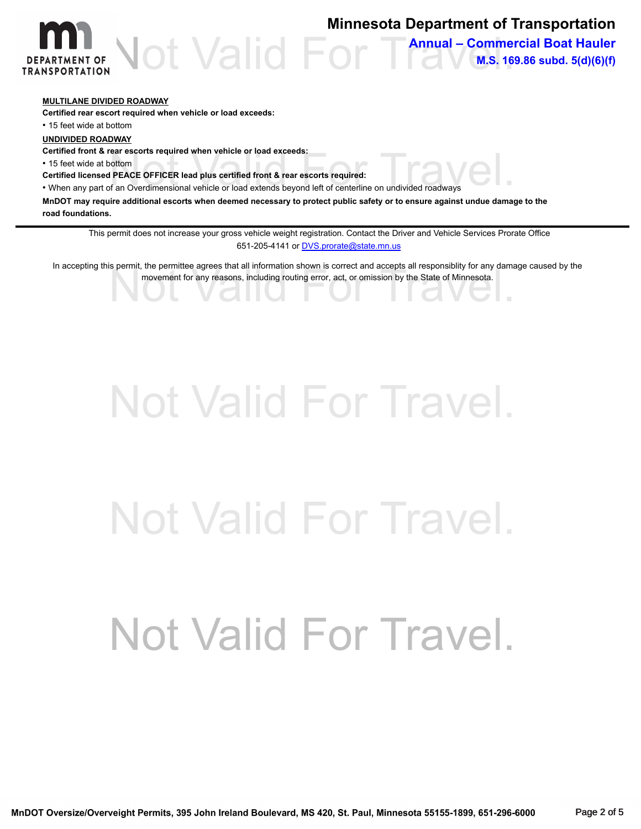

### **Minnesota Department of Transportation**

**Annual – Commercial Boat Hauler M.S. 169.86 subd. 5(d)(6)(f)**

### **MULTILANE DIVIDED ROADWAY**

**Certified rear escort required when vehicle or load exceeds:**

• 15 feet wide at bottom

**UNDIVIDED ROADWAY**

**Certified front & rear escorts required when vehicle or load exceeds:**

• 15 feet wide at bottom

**Certified licensed PEACE OFFICER lead plus certified front & rear escorts required:**

Certified front & rear escorts required when vehicle or load exceeds:<br>• 15 feet wide at bottom<br>• When any part of an Overdimensional vehicle or load extends beyond left of centerline on undivided roadways

**MnDOT may require additional escorts when deemed necessary to protect public safety or to ensure against undue damage to the road foundations.**

This permit does not increase your gross vehicle weight registration. Contact the Driver and Vehicle Services Prorate Office [651-205-4141 or DVS.prorate@state.mn.us](mailto:DVS.prorate@state.mn.us)

s permit, the permittee agrees that all information shown is correct and accepts all responsibility for any dama<br>movement for any reasons, including routing error, act, or omission by the State of Minnesota. In accepting this permit, the permittee agrees that all information shown is correct and accepts all responsiblity for any damage caused by the movement for any reasons, including routing error, act, or omission by the State of Minnesota.

# Not Valid For Travel.

# Not Valid For Travel.

# Not Valid For Travel.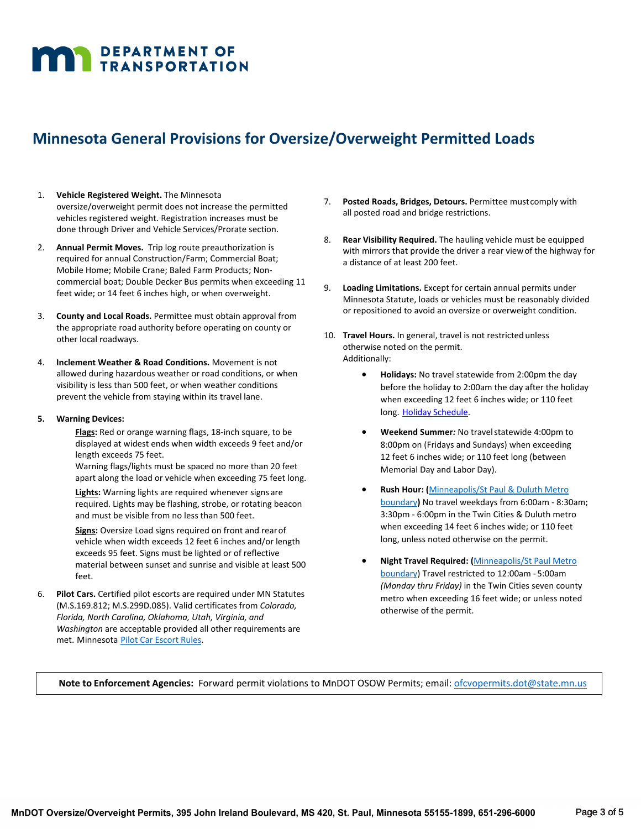# **MAN DEPARTMENT OF TRANSPORTATION**

### **Minnesota General Provisions for Oversize/Overweight Permitted Loads**

- 1. **Vehicle Registered Weight.** The Minnesota oversize/overweight permit does not increase the permitted vehicles registered weight. Registration increases must be done through Driver and Vehicle Services/Prorate section.
- 2. **Annual Permit Moves.** Trip log route preauthorization is required for annual Construction/Farm; Commercial Boat; Mobile Home; Mobile Crane; Baled Farm Products; Noncommercial boat; Double Decker Bus permits when exceeding 11 feet wide; or 14 feet 6 inches high, or when overweight.
- 3. **County and Local Roads.** Permittee must obtain approval from the appropriate road authority before operating on county or other local roadways.
- 4. **Inclement Weather & Road Conditions.** Movement is not allowed during hazardous weather or road conditions, or when visibility is less than 500 feet, or when weather conditions prevent the vehicle from staying within its travel lane.
- **5. Warning Devices:**
	- **Flags:** Red or orange warning flags, 18-inch square, to be displayed at widest ends when width exceeds 9 feet and/or length exceeds 75 feet.

Warning flags/lights must be spaced no more than 20 feet apart along the load or vehicle when exceeding 75 feet long.

**Lights:** Warning lights are required whenever signs are required. Lights may be flashing, strobe, or rotating beacon and must be visible from no less than 500 feet.

**Signs:** Oversize Load signs required on front and rearof vehicle when width exceeds 12 feet 6 inches and/or length exceeds 95 feet. Signs must be lighted or of reflective material between sunset and sunrise and visible at least 500 feet.

6. **Pilot Cars.** Certified pilot escorts are required under MN Statutes (M.S.169.812; M.S.299D.085). Valid certificates from *Colorado, Florida, North Carolina, Oklahoma, Utah, Virginia, and Washington* are acceptable provided all other requirements are met. Minnesota [Pilot Car Escort Rules.](https://www.revisor.mn.gov/rules/7455/)

- 7. **Posted Roads, Bridges, Detours.** Permittee mustcomply with all posted road and bridge restrictions.
- 8. **Rear Visibility Required.** The hauling vehicle must be equipped with mirrors that provide the driver a rear viewof the highway for a distance of at least 200 feet.
- 9. **Loading Limitations.** Except for certain annual permits under Minnesota Statute, loads or vehicles must be reasonably divided or repositioned to avoid an oversize or overweight condition.
- 10. **Travel Hours.** In general, travel is not restrictedunless otherwise noted on the permit. Additionally:
	- **Holidays:** No travel statewide from 2:00pm the day before the holiday to 2:00am the day after the holiday when exceeding 12 feet 6 inches wide; or 110 feet long. Holiday [Schedule.](http://www.dot.state.mn.us/cvo/oversize/holiday-schedule.html)
	- **Weekend Summer***:* No travelstatewide 4:00pm to 8:00pm on (Fridays and Sundays) when exceeding 12 feet 6 inches wide; or 110 feet long (between Memorial Day and Labor Day).
	- **Rush Hour: (**[Minneapolis/St Paul &](https://mndot.maps.arcgis.com/apps/webappviewer/index.html?id=aa2e76030d914589a9c04393debec5ef) Duluth Metro [boundary](https://mndot.maps.arcgis.com/apps/webappviewer/index.html?id=aa2e76030d914589a9c04393debec5ef)**)** No travel weekdays from 6:00am - 8:30am; 3:30pm - 6:00pm in the Twin Cities & Duluth metro when exceeding 14 feet 6 inches wide; or 110 feet long, unless noted otherwise on the permit.
	- **Night Travel Required: (**[Minneapolis/St Paul Metro](https://mndot.maps.arcgis.com/apps/webappviewer/index.html?id=aa2e76030d914589a9c04393debec5ef) [boundary\)](https://mndot.maps.arcgis.com/apps/webappviewer/index.html?id=aa2e76030d914589a9c04393debec5ef) Travel restricted to 12:00am - 5:00am *(Monday thru Friday)* in the Twin Cities seven county metro when exceeding 16 feet wide; or unless noted otherwise of the permit.

**Note to Enforcement Agencies:** Forward permit violations to MnDOT OSOW Permits; email: [ofcvopermits.dot@state.mn.us](mailto:ofcvopermits.dot@state.mn.us)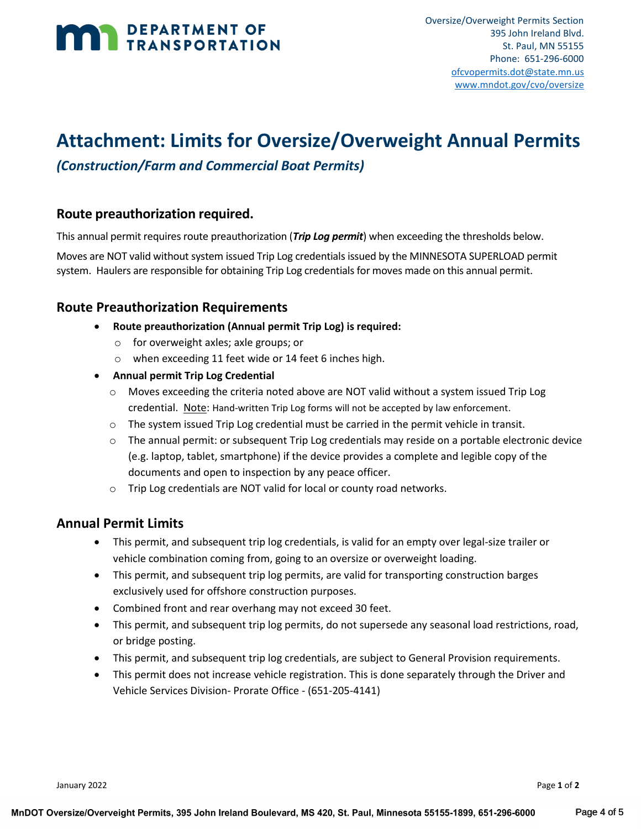## DEPARTMENT OF TRANSPORTATION

### **Attachment: Limits for Oversize/Overweight Annual Permits**

### *(Construction/Farm and Commercial Boat Permits)*

### **Route preauthorization required.**

This annual permit requires route preauthorization (*Trip Log permit*) when exceeding the thresholds below.

Moves are NOT valid without system issued Trip Log credentials issued by the MINNESOTA SUPERLOAD permit system. Haulers are responsible for obtaining Trip Log credentials for moves made on this annual permit.

### **Route Preauthorization Requirements**

- **Route preauthorization (Annual permit Trip Log) is required:**
	- o for overweight axles; axle groups; or
	- o when exceeding 11 feet wide or 14 feet 6 inches high.
- **Annual permit Trip Log Credential**
	- $\circ$  Moves exceeding the criteria noted above are NOT valid without a system issued Trip Log credential. Note: Hand-written Trip Log forms will not be accepted by law enforcement.
	- o The system issued Trip Log credential must be carried in the permit vehicle in transit.
	- $\circ$  The annual permit: or subsequent Trip Log credentials may reside on a portable electronic device (e.g. laptop, tablet, smartphone) if the device provides a complete and legible copy of the documents and open to inspection by any peace officer.
	- o Trip Log credentials are NOT valid for local or county road networks.

### **Annual Permit Limits**

- This permit, and subsequent trip log credentials, is valid for an empty over legal-size trailer or vehicle combination coming from, going to an oversize or overweight loading.
- This permit, and subsequent trip log permits, are valid for transporting construction barges exclusively used for offshore construction purposes.
- Combined front and rear overhang may not exceed 30 feet.
- This permit, and subsequent trip log permits, do not supersede any seasonal load restrictions, road, or bridge posting.
- This permit, and subsequent trip log credentials, are subject to General Provision requirements.
- This permit does not increase vehicle registration. This is done separately through the Driver and Vehicle Services Division- Prorate Office - (651-205-4141)